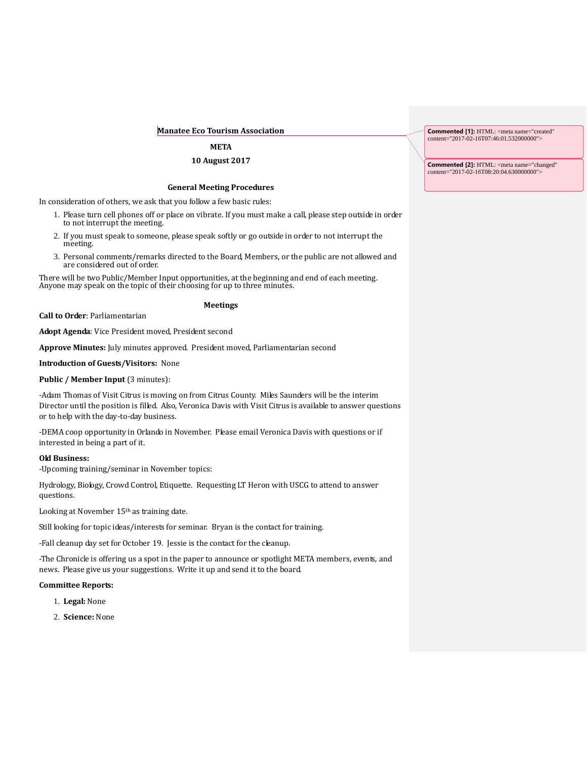## **Manatee Eco Tourism Association**

# **META**

# **10 August 2017**

### **General Meeting Procedures**

In consideration of others, we ask that you follow a few basic rules:

- 1. Please turn cell phones off or place on vibrate. If you must make a call, please step outside in order to not interrupt the meeting.
- 2. If you must speak to someone, please speak softly or go outside in order to not interrupt the meeting.
- 3. Personal comments/remarks directed to the Board, Members, or the public are not allowed and are considered out of order.

There will be two Public/Member Input opportunities, at the beginning and end of each meeting. Anyone may speak on the topic of their choosing for up to three minutes.

# **Meetings**

**Call to Order**: Parliamentarian

**Adopt Agenda**: Vice President moved, President second

**Approve Minutes:** July minutes approved. President moved, Parliamentarian second

### **Introduction of Guests/Visitors:** None

## **Public / Member Input (3 minutes):**

-Adam Thomas of Visit Citrus is moving on from Citrus County. Miles Saunders will be the interim Director until the position is filled. Also, Veronica Davis with Visit Citrus is available to answer questions or to help with the day-to-day business.

-DEMA coop opportunity in Orlando in November. Please email Veronica Davis with questions or if interested in being a part of it.

#### **Old Business:**

-Upcoming training/seminar in November topics:

Hydrology, Biology, Crowd Control, Etiquette. Requesting LT Heron with USCG to attend to answer questions.

Looking at November 15th as training date.

Still looking for topic ideas/interests for seminar. Bryan is the contact for training.

-Fall cleanup day set for October 19. Jessie is the contact for the cleanup.

-The Chronicle is offering us a spot in the paper to announce or spotlight META members, events, and news. Please give us your suggestions. Write it up and send it to the board.

#### **Committee Reports:**

- 1. **Legal:** None
- 2. **Science:** None

**Commented [1]:** HTML: <meta name="created" content="2017-02-16T07:46:01.532000000">

**Commented [2]:** HTML: <meta name="changed" content="2017-02-16T08:20:04.630000000">